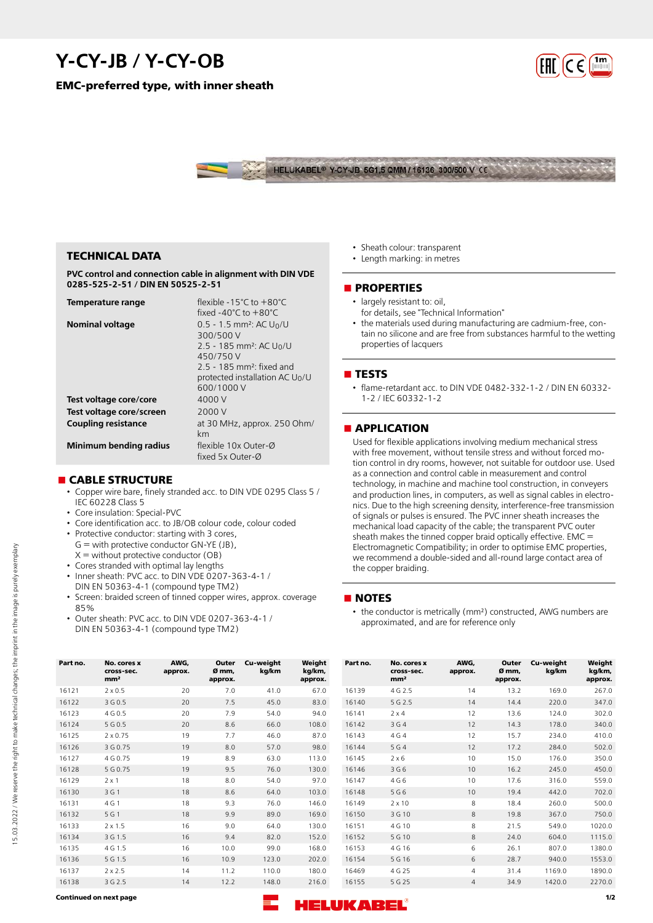# **Y-CY-JB / Y-CY-OB**

**EMC-preferred type, with inner sheath**





### **TECHNICAL DATA**

**PVC control and connection cable in alignment with DIN VDE 0285-525-2-51 / DIN EN 50525-2-51**

| Temperature range          | flexible -15°C to +80°C                            |
|----------------------------|----------------------------------------------------|
|                            | fixed $-40^{\circ}$ C to $+80^{\circ}$ C           |
| <b>Nominal voltage</b>     | $0.5 - 1.5$ mm <sup>2</sup> : AC U <sub>0</sub> /U |
|                            | 300/500 V                                          |
|                            | 2.5 - 185 mm <sup>2</sup> : AC U <sub>0</sub> /U   |
|                            | 450/750 V                                          |
|                            | $2.5 - 185$ mm <sup>2</sup> : fixed and            |
|                            | protected installation AC $U_0/U$                  |
|                            | 600/1000 V                                         |
| Test voltage core/core     | 4000 V                                             |
| Test voltage core/screen   | 2000 V                                             |
| <b>Coupling resistance</b> | at 30 MHz, approx. 250 Ohm/                        |
|                            | km                                                 |
| Minimum bending radius     | flexible 10x Outer-Ø                               |
|                            | fixed 5x Outer-Ø                                   |

#### **n** CABLE STRUCTURE

- Copper wire bare, finely stranded acc. to DIN VDE 0295 Class 5 / IEC 60228 Class 5
- Core insulation: Special-PVC
- Core identification acc. to JB/OB colour code, colour coded
- Protective conductor: starting with 3 cores,  $G =$  with protective conductor  $GN-YE$  (JB),  $X =$  without protective conductor (OB)
- Cores stranded with optimal lay lengths
- Inner sheath: PVC acc. to DIN VDE 0207-363-4-1 /
- DIN EN 50363-4-1 (compound type TM2)
- Screen: braided screen of tinned copper wires, approx. coverage 85%
- Outer sheath: PVC acc. to DIN VDE 0207-363-4-1 / DIN EN 50363-4-1 (compound type TM2)
- Sheath colour: transparent • Length marking: in metres
- 

#### **nPROPERTIES**

- largely resistant to: oil. for details, see "Technical Information"
- the materials used during manufacturing are cadmium-free, contain no silicone and are free from substances harmful to the wetting properties of lacquers

#### **n** TESTS

• flame-retardant acc. to DIN VDE 0482-332-1-2 / DIN EN 60332- 1-2 / IEC 60332-1-2

### **nAPPLICATION**

Used for flexible applications involving medium mechanical stress with free movement, without tensile stress and without forced motion control in dry rooms, however, not suitable for outdoor use. Used as a connection and control cable in measurement and control technology, in machine and machine tool construction, in conveyers and production lines, in computers, as well as signal cables in electronics. Due to the high screening density, interference-free transmission of signals or pulses is ensured. The PVC inner sheath increases the mechanical load capacity of the cable; the transparent PVC outer sheath makes the tinned copper braid optically effective. EMC = Electromagnetic Compatibility; in order to optimise EMC properties, we recommend a double-sided and all-round large contact area of the copper braiding.

#### **n** NOTES

• the conductor is metrically (mm²) constructed, AWG numbers are approximated, and are for reference only

| Part no. | No. cores x<br>cross-sec.<br>mm <sup>2</sup> | AWG,<br>approx. | Outer<br>Ø mm.<br>approx. | Cu-weight<br>kg/km | Weight<br>kg/km,<br>approx. | Part no. | No. cores x<br>cross-sec.<br>mm <sup>2</sup> | AWG,<br>approx. | Outer<br>Ø mm.<br>approx. | Cu-weight<br>kg/km | Weight<br>kg/km,<br>approx. |
|----------|----------------------------------------------|-----------------|---------------------------|--------------------|-----------------------------|----------|----------------------------------------------|-----------------|---------------------------|--------------------|-----------------------------|
| 16121    | $2 \times 0.5$                               | 20              | 7.0                       | 41.0               | 67.0                        | 16139    | 4 G 2.5                                      | 14              | 13.2                      | 169.0              | 267.0                       |
| 16122    | 3 G 0.5                                      | 20              | 7.5                       | 45.0               | 83.0                        | 16140    | 5 G 2.5                                      | 14              | 14.4                      | 220.0              | 347.0                       |
| 16123    | 4 G 0.5                                      | 20              | 7.9                       | 54.0               | 94.0                        | 16141    | $2 \times 4$                                 | 12              | 13.6                      | 124.0              | 302.0                       |
| 16124    | 5 G 0.5                                      | 20              | 8.6                       | 66.0               | 108.0                       | 16142    | 3 G 4                                        | 12              | 14.3                      | 178.0              | 340.0                       |
| 16125    | $2 \times 0.75$                              | 19              | 7.7                       | 46.0               | 87.0                        | 16143    | 4 G 4                                        | 12              | 15.7                      | 234.0              | 410.0                       |
| 16126    | 3 G 0.75                                     | 19              | 8.0                       | 57.0               | 98.0                        | 16144    | 5 G 4                                        | 12              | 17.2                      | 284.0              | 502.0                       |
| 16127    | 4 G 0.75                                     | 19              | 8.9                       | 63.0               | 113.0                       | 16145    | $2 \times 6$                                 | 10              | 15.0                      | 176.0              | 350.0                       |
| 16128    | 5 G 0.75                                     | 19              | 9.5                       | 76.0               | 130.0                       | 16146    | 3 G 6                                        | 10              | 16.2                      | 245.0              | 450.0                       |
| 16129    | $2 \times 1$                                 | 18              | 8.0                       | 54.0               | 97.0                        | 16147    | 4 G 6                                        | 10 <sup>°</sup> | 17.6                      | 316.0              | 559.0                       |
| 16130    | 3 G 1                                        | 18              | 8.6                       | 64.0               | 103.0                       | 16148    | 5 G 6                                        | 10 <sup>°</sup> | 19.4                      | 442.0              | 702.0                       |
| 16131    | 4 G 1                                        | 18              | 9.3                       | 76.0               | 146.0                       | 16149    | $2 \times 10$                                | 8               | 18.4                      | 260.0              | 500.0                       |
| 16132    | 5 G 1                                        | 18              | 9.9                       | 89.0               | 169.0                       | 16150    | 3 G 10                                       | 8               | 19.8                      | 367.0              | 750.0                       |
| 16133    | $2 \times 1.5$                               | 16              | 9.0                       | 64.0               | 130.0                       | 16151    | 4 G 10                                       | 8               | 21.5                      | 549.0              | 1020.0                      |
| 16134    | 3 G 1.5                                      | 16              | 9.4                       | 82.0               | 152.0                       | 16152    | 5 G 10                                       | 8               | 24.0                      | 604.0              | 1115.0                      |
| 16135    | 4 G 1.5                                      | 16              | 10.0                      | 99.0               | 168.0                       | 16153    | 4 G 16                                       | 6               | 26.1                      | 807.0              | 1380.0                      |
| 16136    | 5 G 1.5                                      | 16              | 10.9                      | 123.0              | 202.0                       | 16154    | 5 G 16                                       | 6               | 28.7                      | 940.0              | 1553.0                      |
| 16137    | $2 \times 2.5$                               | 14              | 11.2                      | 110.0              | 180.0                       | 16469    | 4 G 25                                       | 4               | 31.4                      | 1169.0             | 1890.0                      |
| 16138    | 3 G 2.5                                      | 14              | 12.2                      | 148.0              | 216.0                       | 16155    | 5 G 25                                       | $\overline{4}$  | 34.9                      | 1420.0             | 2270.0                      |

15.03.2022 / We reserve the right to make technical changes; the imprint in the image is purely exemplary

5.03.2022 / We reserve the right to make technical changes; the imprint in the image is purely exemplary